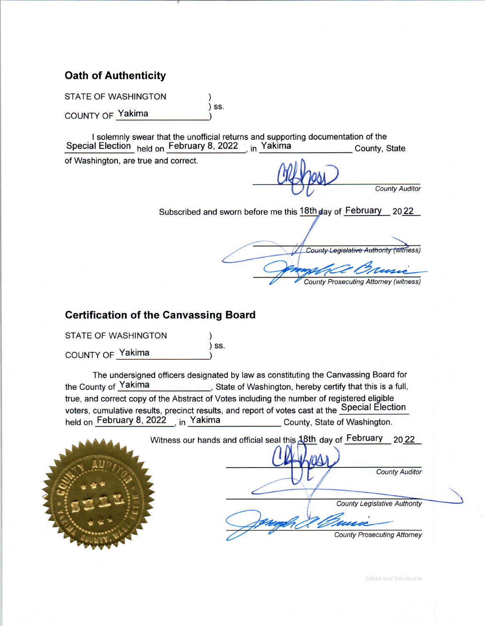# **Oath of Authenticity**

**STATE OF WASHINGTON** 

COUNTY OF Yakima

I solemnly swear that the unofficial returns and supporting documentation of the Special Election held on February 8, 2022 <sub>, in</sub> Yakima County, State

SS.

of Washington, are true and correct.

**County Auditor** 

Subscribed and sworn before me this 18th day of February 2022

County Legislative Authority (witness) **County Prosecuting Attorney (witness)** 

# **Certification of the Canvassing Board**

**STATE OF WASHINGTON** 

COUNTY OF Yakima

The undersigned officers designated by law as constituting the Canvassing Board for the County of Yakima , State of Washington, hereby certify that this is a full, true, and correct copy of the Abstract of Votes including the number of registered eligible voters, cumulative results, precinct results, and report of votes cast at the Special Election held on February 8, 2022 in Yakima County, State of Washington.

SS.

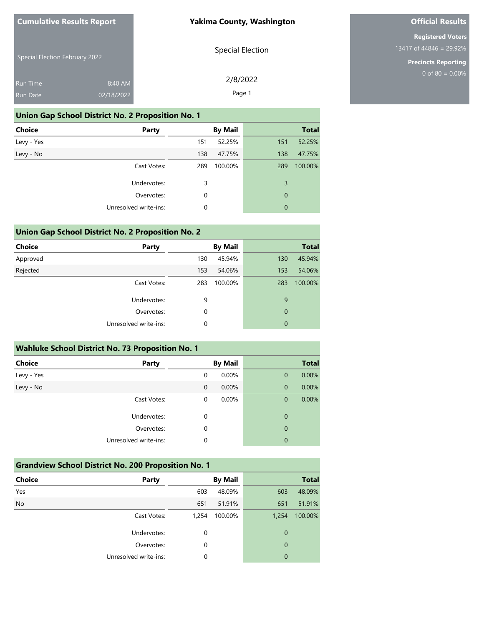#### **Yakima County, Washington**

Special Election February 2022

Special Election

2/8/2022 Page 1

**Official Results**

**Registered Voters** 13417 of 44846 = 29.92%

> **Precincts Reporting** 0 of 80 =  $0.00\%$

| Run Time | 8:40 AM    |
|----------|------------|
| Run Date | 02/18/2022 |

### **Union Gap School District No. 2 Proposition No. 1**

| <b>Choice</b> | Party                 |     | <b>By Mail</b> |             | <b>Total</b> |
|---------------|-----------------------|-----|----------------|-------------|--------------|
| Levy - Yes    |                       | 151 | 52.25%         | 151         | 52.25%       |
| Levy - No     |                       | 138 | 47.75%         | 138         | 47.75%       |
|               | Cast Votes:           | 289 | 100.00%        | 289         | 100.00%      |
|               | Undervotes:           | 3   |                | 3           |              |
|               | Overvotes:            | 0   |                | $\mathbf 0$ |              |
|               | Unresolved write-ins: | 0   |                | $\mathbf 0$ |              |
|               |                       |     |                |             |              |

### **Union Gap School District No. 2 Proposition No. 2**

| <b>Choice</b> | Party                 |     | <b>By Mail</b> |             | <b>Total</b> |
|---------------|-----------------------|-----|----------------|-------------|--------------|
| Approved      |                       | 130 | 45.94%         | 130         | 45.94%       |
| Rejected      |                       | 153 | 54.06%         | 153         | 54.06%       |
|               | Cast Votes:           | 283 | 100.00%        | 283         | 100.00%      |
|               | Undervotes:           | 9   |                | 9           |              |
|               | Overvotes:            | 0   |                | $\mathbf 0$ |              |
|               | Unresolved write-ins: | 0   |                | 0           |              |
|               |                       |     |                |             |              |

| <b>Wahluke School District No. 73 Proposition No. 1</b> |                       |          |                |              |              |
|---------------------------------------------------------|-----------------------|----------|----------------|--------------|--------------|
| <b>Choice</b>                                           | Party                 |          | <b>By Mail</b> |              | <b>Total</b> |
| Levy - Yes                                              |                       | $\Omega$ | 0.00%          | $\mathbf 0$  | 0.00%        |
| Levy - No                                               |                       | $\Omega$ | 0.00%          | $\mathbf{0}$ | 0.00%        |
|                                                         | Cast Votes:           | 0        | 0.00%          | $\mathbf 0$  | 0.00%        |
|                                                         | Undervotes:           | 0        |                | 0            |              |
|                                                         | Overvotes:            | 0        |                | 0            |              |
|                                                         | Unresolved write-ins: | 0        |                | 0            |              |

### **Grandview School District No. 200 Proposition No. 1**

| <b>Choice</b> | <b>Party</b>          |          | <b>By Mail</b> |                | <b>Total</b> |
|---------------|-----------------------|----------|----------------|----------------|--------------|
| Yes           |                       | 603      | 48.09%         | 603            | 48.09%       |
| <b>No</b>     |                       | 651      | 51.91%         | 651            | 51.91%       |
|               | Cast Votes:           | 1,254    | 100.00%        | 1,254          | 100.00%      |
|               | Undervotes:           | 0        |                | 0              |              |
|               | Overvotes:            | 0        |                | $\mathbf 0$    |              |
|               | Unresolved write-ins: | $\Omega$ |                | $\overline{0}$ |              |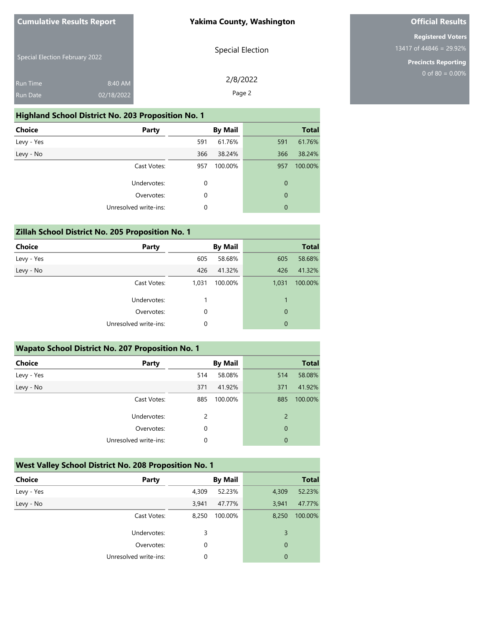#### **Yakima County, Washington**

# **Official Results**

**Registered Voters** 13417 of 44846 = 29.92%

> **Precincts Reporting** 0 of 80 =  $0.00\%$

|  | <b>Special Election February 2022</b> |  |
|--|---------------------------------------|--|
|  |                                       |  |

Special Election

2/8/2022 Page 2

| Run Date | 02/18/2022 |
|----------|------------|
|          |            |
| Run Time | 8:40 AM    |

#### **Highland School District No. 203 Proposition No. 1**

| <b>Party</b>          |     | <b>By Mail</b> |                  | <b>Total</b> |
|-----------------------|-----|----------------|------------------|--------------|
|                       | 591 | 61.76%         | 591              | 61.76%       |
|                       | 366 | 38.24%         | 366              | 38.24%       |
| Cast Votes:           | 957 | 100.00%        | 957              | 100.00%      |
| Undervotes:           | 0   |                | $\boldsymbol{0}$ |              |
| Overvotes:            | 0   |                | $\mathbf 0$      |              |
| Unresolved write-ins: | 0   |                | $\mathbf{0}$     |              |
|                       |     |                |                  |              |

## **Zillah School District No. 205 Proposition No. 1**

| <b>Choice</b> | <b>Party</b>          |       | <b>By Mail</b> |              | <b>Total</b> |
|---------------|-----------------------|-------|----------------|--------------|--------------|
| Levy - Yes    |                       | 605   | 58.68%         | 605          | 58.68%       |
| Levy - No     |                       | 426   | 41.32%         | 426          | 41.32%       |
|               | Cast Votes:           | 1,031 | 100.00%        | 1,031        | 100.00%      |
|               | Undervotes:           |       |                | $\mathbf{1}$ |              |
|               | Overvotes:            | 0     |                | 0            |              |
|               | Unresolved write-ins: | 0     |                | $\mathbf{0}$ |              |
|               |                       |       |                |              |              |

| <b>Wapato School District No. 207 Proposition No. 1</b> |     |                |                |              |  |
|---------------------------------------------------------|-----|----------------|----------------|--------------|--|
| <b>Party</b>                                            |     | <b>By Mail</b> |                | <b>Total</b> |  |
|                                                         | 514 | 58.08%         | 514            | 58.08%       |  |
|                                                         | 371 | 41.92%         | 371            | 41.92%       |  |
| Cast Votes:                                             | 885 | 100.00%        | 885            | 100.00%      |  |
| Undervotes:                                             | 2   |                | $\overline{2}$ |              |  |
| Overvotes:                                              | 0   |                | $\overline{0}$ |              |  |
| Unresolved write-ins:                                   | 0   |                | 0              |              |  |
|                                                         |     |                |                |              |  |

## **West Valley School District No. 208 Proposition No. 1**

| <b>Choice</b> | <b>Party</b>          |       | <b>By Mail</b> |             | <b>Total</b> |
|---------------|-----------------------|-------|----------------|-------------|--------------|
| Levy - Yes    |                       | 4,309 | 52.23%         | 4,309       | 52.23%       |
| Levy - No     |                       | 3,941 | 47.77%         | 3,941       | 47.77%       |
|               | Cast Votes:           | 8,250 | 100.00%        | 8,250       | 100.00%      |
|               | Undervotes:           | 3     |                | 3           |              |
|               | Overvotes:            | 0     |                | $\mathbf 0$ |              |
|               | Unresolved write-ins: | 0     |                | 0           |              |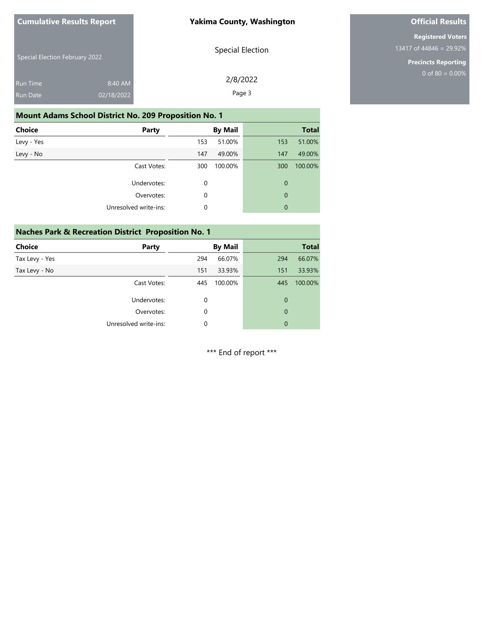#### **Yakima County, Washington**

# **Official Results**

**Registered Voters** 13417 of 44846 = 29.92%

> **Precincts Reporting** 0 of 80 =  $0.00\%$

|  | <b>Special Election February 2022</b> |  |
|--|---------------------------------------|--|
|  |                                       |  |

Special Election

2/8/2022 Page 3

| <b>Run Time</b> | 8:40 AM    |
|-----------------|------------|
| Run Date        | 02/18/2022 |

### **Mount Adams School District No. 209 Proposition No. 1**

| <b>Choice</b><br>Party |     | <b>By Mail</b> |             | <b>Total</b> |
|------------------------|-----|----------------|-------------|--------------|
| Levy - Yes             | 153 | 51.00%         | 153         | 51.00%       |
| Levy - No              | 147 | 49.00%         | 147         | 49.00%       |
| Cast Votes:            | 300 | 100.00%        | 300         | 100.00%      |
| Undervotes:            | 0   |                | 0           |              |
| Overvotes:             | 0   |                | $\mathbf 0$ |              |
| Unresolved write-ins:  | 0   |                | 0           |              |

### **Naches Park & Recreation District Proposition No. 1**

| <b>Choice</b>  | Party                 |          | <b>By Mail</b> |             | <b>Total</b> |
|----------------|-----------------------|----------|----------------|-------------|--------------|
| Tax Levy - Yes |                       | 294      | 66.07%         | 294         | 66.07%       |
| Tax Levy - No  |                       | 151      | 33.93%         | 151         | 33.93%       |
|                | Cast Votes:           | 445      | 100.00%        | 445         | 100.00%      |
|                | Undervotes:           | $\Omega$ |                | 0           |              |
|                | Overvotes:            | 0        |                | $\mathbf 0$ |              |
|                | Unresolved write-ins: | 0        |                | 0           |              |
|                |                       |          |                |             |              |

\*\*\* End of report \*\*\*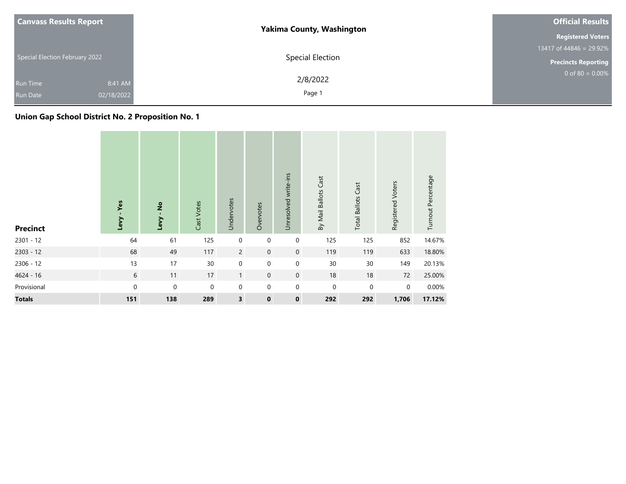| <b>Canvass Results Report</b>                               | <b>Yakima County, Washington</b> | <b>Official Results</b>              |
|-------------------------------------------------------------|----------------------------------|--------------------------------------|
|                                                             |                                  | <b>Registered Voters</b>             |
|                                                             |                                  | 13417 of $448\overline{46}$ = 29.92% |
| Special Election February 2022                              | Special Election                 | <b>Precincts Reporting</b>           |
| 8:41 AM<br><b>Run Time</b><br>02/18/2022<br><b>Run Date</b> | 2/8/2022<br>Page 1               | 0 of 80 = $0.00\%$                   |
|                                                             |                                  |                                      |

# **Union Gap School District No. 2 Proposition No. 1**

| <b>Precinct</b> | Yes<br>Levy | $\frac{1}{2}$<br>Levy | Cast Votes  | Undervotes              | Overvotes   | Unresolved write-ins | By Mail Ballots Cast | <b>Total Ballots Cast</b> | Registered Voters | Turnout Percentage |
|-----------------|-------------|-----------------------|-------------|-------------------------|-------------|----------------------|----------------------|---------------------------|-------------------|--------------------|
| $2301 - 12$     | 64          | 61                    | 125         | $\mathbf 0$             | $\mathbf 0$ | $\boldsymbol{0}$     | 125                  | 125                       | 852               | 14.67%             |
| $2303 - 12$     | 68          | 49                    | 117         | $\overline{2}$          | $\mathbf 0$ | $\boldsymbol{0}$     | 119                  | 119                       | 633               | 18.80%             |
| 2306 - 12       | 13          | 17                    | 30          | $\mathbf 0$             | $\mathbf 0$ | $\mathbf 0$          | 30                   | 30                        | 149               | 20.13%             |
| 4624 - 16       | 6           | 11                    | 17          | $\mathbf{1}$            | $\mathbf 0$ | $\mathbf 0$          | 18                   | 18                        | 72                | 25.00%             |
| Provisional     | $\mathbf 0$ | $\mathbf 0$           | $\mathbf 0$ | $\mathbf 0$             | $\mathbf 0$ | $\mathbf 0$          | $\mathbf 0$          | $\pmb{0}$                 | $\mathbf 0$       | 0.00%              |
| <b>Totals</b>   | 151         | 138                   | 289         | $\overline{\mathbf{3}}$ | $\mathbf 0$ | $\pmb{0}$            | 292                  | 292                       | 1,706             | 17.12%             |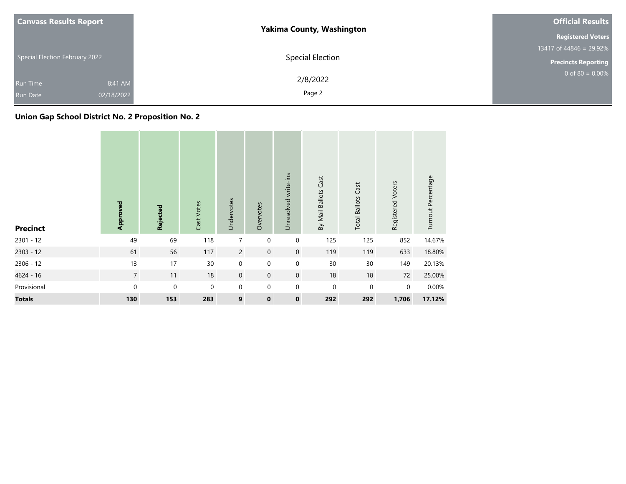| <b>Canvass Results Report</b>                               | <b>Yakima County, Washington</b> | <b>Official Results</b>              |
|-------------------------------------------------------------|----------------------------------|--------------------------------------|
|                                                             |                                  | <b>Registered Voters</b>             |
|                                                             |                                  | 13417 of $448\overline{46}$ = 29.92% |
| Special Election February 2022                              | Special Election                 | <b>Precincts Reporting</b>           |
| 8:41 AM<br><b>Run Time</b><br>02/18/2022<br><b>Run Date</b> | 2/8/2022<br>Page 2               | 0 of 80 = $0.00\%$                   |

# **Union Gap School District No. 2 Proposition No. 2**

| <b>Precinct</b> | Approved        | Rejected         | Cast Votes  | Undervotes     | Overvotes   | Unresolved write-ins | By Mail Ballots Cast | <b>Total Ballots Cast</b> | Registered Voters | Turnout Percentage |
|-----------------|-----------------|------------------|-------------|----------------|-------------|----------------------|----------------------|---------------------------|-------------------|--------------------|
| $2301 - 12$     | 49              | 69               | 118         | $\overline{7}$ | $\mathbf 0$ | $\pmb{0}$            | 125                  | 125                       | 852               | 14.67%             |
| $2303 - 12$     | 61              | 56               | 117         | $\overline{2}$ | $\mathbf 0$ | $\boldsymbol{0}$     | 119                  | 119                       | 633               | 18.80%             |
| 2306 - 12       | 13              | 17               | 30          | $\mathbf 0$    | $\mathbf 0$ | $\pmb{0}$            | 30                   | 30                        | 149               | 20.13%             |
| 4624 - 16       | $7\overline{ }$ | 11               | 18          | $\mathbf 0$    | $\mathbf 0$ | $\boldsymbol{0}$     | 18                   | 18                        | 72                | 25.00%             |
| Provisional     | $\mathbf{0}$    | $\boldsymbol{0}$ | $\mathbf 0$ | $\mathbf 0$    | $\mathbf 0$ | $\mathbf 0$          | $\mathbf 0$          | 0                         | $\mathbf 0$       | 0.00%              |
| <b>Totals</b>   | 130             | 153              | 283         | 9              | $\mathbf 0$ | $\pmb{0}$            | 292                  | 292                       | 1,706             | 17.12%             |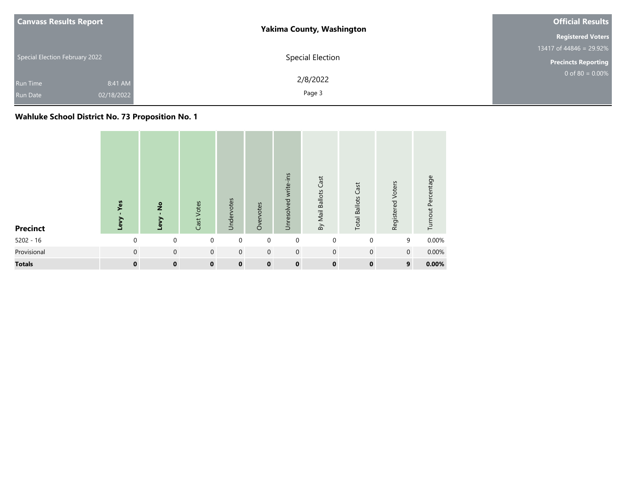| <b>Canvass Results Report</b>                               | <b>Yakima County, Washington</b> | <b>Official Results</b>    |
|-------------------------------------------------------------|----------------------------------|----------------------------|
|                                                             |                                  | <b>Registered Voters</b>   |
|                                                             |                                  | 13417 of 44846 = 29.92%    |
| Special Election February 2022                              | Special Election                 | <b>Precincts Reporting</b> |
| 8:41 AM<br><b>Run Time</b><br>02/18/2022<br><b>Run Date</b> | 2/8/2022<br>Page 3               | $0$ of 80 = 0.00%          |

# **Wahluke School District No. 73 Proposition No. 1**

| <b>Precinct</b> | Yes<br>Levy | $\frac{1}{2}$<br>Levy | Cast Votes   | Undervotes  | Overvotes   | Unresolved write-ins | By Mail Ballots Cast | Cast<br><b>Total Ballots</b> | Registered Voters | Turnout Percentage |
|-----------------|-------------|-----------------------|--------------|-------------|-------------|----------------------|----------------------|------------------------------|-------------------|--------------------|
| $5202 - 16$     | $\mathbf 0$ | $\mathbf 0$           | $\mathbf 0$  | $\mathbf 0$ | $\mathbf 0$ | $\mathbf 0$          | $\mathbf 0$          | $\mathbf 0$                  | 9                 | 0.00%              |
| Provisional     | $\mathbf 0$ | $\mathbf 0$           | $\mathbf{0}$ | $\mathbf 0$ | $\mathbf 0$ | $\mathbf 0$          | $\mathbf 0$          | $\mathbf{0}$                 | $\mathbf 0$       | 0.00%              |
| <b>Totals</b>   | $\bf{0}$    | $\bf{0}$              | $\mathbf 0$  | $\bf{0}$    | $\mathbf 0$ | $\bf{0}$             | $\bf{0}$             | $\bf{0}$                     | 9                 | $0.00\%$           |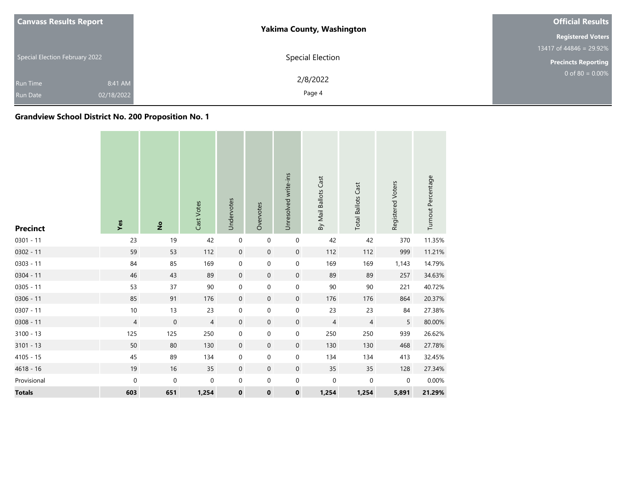| <b>Canvass Results Report</b>  |            | <b>Yakima County, Washington</b> | <b>Official Results</b>               |
|--------------------------------|------------|----------------------------------|---------------------------------------|
|                                |            |                                  | <b>Registered Voters</b>              |
| Special Election February 2022 |            |                                  | 13417 of $448\overline{46} = 29.92\%$ |
|                                |            | Special Election                 | <b>Precincts Reporting</b>            |
| <b>Run Time</b>                | 8:41 AM    | 2/8/2022                         | 0 of 80 = $0.00\%$                    |
| <b>Run Date</b>                | 02/18/2022 | Page 4                           |                                       |

# **Grandview School District No. 200 Proposition No. 1**

| <b>Precinct</b> | Yes            | $\hat{\mathsf{z}}$ | Cast Votes     | Undervotes       | Overvotes           | Unresolved write-ins | By Mail Ballots Cast | <b>Total Ballots Cast</b> | Registered Voters | Turnout Percentage |
|-----------------|----------------|--------------------|----------------|------------------|---------------------|----------------------|----------------------|---------------------------|-------------------|--------------------|
| $0301 - 11$     | 23             | 19                 | 42             | 0                | $\mathbf 0$         | $\pmb{0}$            | 42                   | 42                        | 370               | 11.35%             |
| $0302 - 11$     | 59             | 53                 | $112$          | $\boldsymbol{0}$ | $\mathsf{O}\xspace$ | $\mathbf 0$          | 112                  | 112                       | 999               | 11.21%             |
| $0303 - 11$     | 84             | 85                 | 169            | 0                | $\boldsymbol{0}$    | $\pmb{0}$            | 169                  | 169                       | 1,143             | 14.79%             |
| $0304 - 11$     | 46             | 43                 | 89             | $\boldsymbol{0}$ | $\mathbf 0$         | $\boldsymbol{0}$     | 89                   | 89                        | 257               | 34.63%             |
| $0305 - 11$     | 53             | 37                 | 90             | 0                | 0                   | $\pmb{0}$            | 90                   | $90\,$                    | 221               | 40.72%             |
| $0306 - 11$     | 85             | 91                 | 176            | $\boldsymbol{0}$ | $\mathbf 0$         | $\mathbf 0$          | 176                  | 176                       | 864               | 20.37%             |
| $0307 - 11$     | $10$           | 13                 | 23             | 0                | 0                   | $\pmb{0}$            | 23                   | 23                        | 84                | 27.38%             |
| $0308 - 11$     | $\overline{4}$ | $\boldsymbol{0}$   | $\overline{4}$ | $\mathbf 0$      | $\mathbf 0$         | $\boldsymbol{0}$     | 4                    | $\overline{4}$            | 5                 | 80.00%             |
| $3100 - 13$     | 125            | 125                | 250            | 0                | 0                   | $\boldsymbol{0}$     | 250                  | 250                       | 939               | 26.62%             |
| $3101 - 13$     | 50             | 80                 | 130            | $\boldsymbol{0}$ | $\mathbf 0$         | $\boldsymbol{0}$     | 130                  | 130                       | 468               | 27.78%             |
| $4105 - 15$     | 45             | 89                 | 134            | 0                | $\boldsymbol{0}$    | $\pmb{0}$            | 134                  | 134                       | 413               | 32.45%             |
| 4618 - 16       | 19             | 16                 | 35             | 0                | $\mathbf 0$         | $\mathbf 0$          | 35                   | 35                        | 128               | 27.34%             |
| Provisional     | $\pmb{0}$      | 0                  | 0              | 0                | 0                   | $\pmb{0}$            | $\mathbf 0$          | $\mathbf 0$               | 0                 | 0.00%              |
| <b>Totals</b>   | 603            | 651                | 1,254          | $\pmb{0}$        | $\pmb{0}$           | $\pmb{0}$            | 1,254                | 1,254                     | 5,891             | 21.29%             |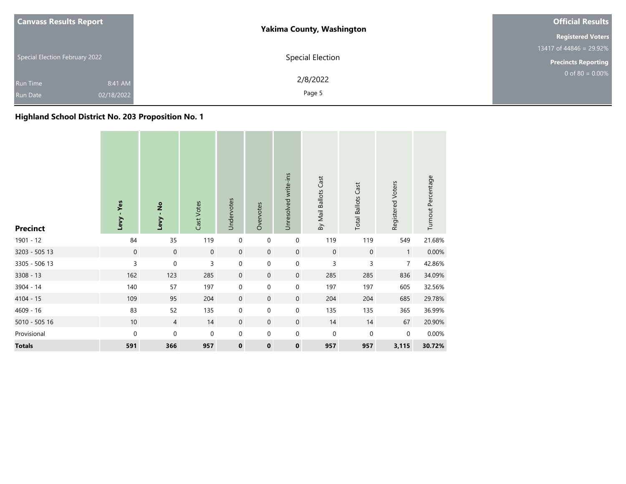| <b>Canvass Results Report</b>  | <b>Yakima County, Washington</b> | <b>Official Results</b>              |
|--------------------------------|----------------------------------|--------------------------------------|
|                                |                                  | <b>Registered Voters</b>             |
|                                |                                  | 13417 of $448\overline{46}$ = 29.92% |
| Special Election February 2022 | Special Election                 | <b>Precincts Reporting</b>           |
| 8:41 AM<br><b>Run Time</b>     | 2/8/2022                         | $0$ of 80 = 0.00%                    |
| 02/18/2022<br><b>Run Date</b>  | Page 5                           |                                      |

# **Highland School District No. 203 Proposition No. 1**

| <b>Precinct</b> | Levy - Yes  | Levy - No      | Cast Votes          | Undervotes  | Overvotes   | Unresolved write-ins | By Mail Ballots Cast | <b>Total Ballots Cast</b> | Registered Voters | Turnout Percentage |
|-----------------|-------------|----------------|---------------------|-------------|-------------|----------------------|----------------------|---------------------------|-------------------|--------------------|
| 1901 - 12       | 84          | 35             | 119                 | $\mathbf 0$ | 0           | $\mathbf 0$          | 119                  | 119                       | 549               | 21.68%             |
| 3203 - 505 13   | $\mathbf 0$ | $\mathbf 0$    | $\mathsf{O}\xspace$ | $\mathbf 0$ | $\mathbf 0$ | $\mathbf 0$          | $\mathbf 0$          | $\mathbf 0$               | $\mathbf{1}$      | 0.00%              |
| 3305 - 506 13   | 3           | $\mathbf 0$    | 3                   | $\pmb{0}$   | 0           | 0                    | 3                    | 3                         | $\overline{7}$    | 42.86%             |
| 3308 - 13       | 162         | 123            | 285                 | $\mathbf 0$ | $\mathbf 0$ | $\boldsymbol{0}$     | 285                  | 285                       | 836               | 34.09%             |
| 3904 - 14       | 140         | 57             | 197                 | $\mathbf 0$ | $\mathbf 0$ | $\pmb{0}$            | 197                  | 197                       | 605               | 32.56%             |
| $4104 - 15$     | 109         | 95             | 204                 | $\mathbf 0$ | $\mathbf 0$ | $\boldsymbol{0}$     | 204                  | 204                       | 685               | 29.78%             |
| $4609 - 16$     | 83          | 52             | 135                 | $\pmb{0}$   | 0           | $\boldsymbol{0}$     | 135                  | 135                       | 365               | 36.99%             |
| 5010 - 505 16   | $10$        | $\overline{4}$ | 14                  | $\mathbf 0$ | $\mathbf 0$ | $\boldsymbol{0}$     | 14                   | 14                        | 67                | 20.90%             |
| Provisional     | $\mathbf 0$ | $\pmb{0}$      | $\mathbf 0$         | 0           | 0           | $\boldsymbol{0}$     | 0                    | $\pmb{0}$                 | $\mathbf 0$       | 0.00%              |
| <b>Totals</b>   | 591         | 366            | 957                 | $\mathbf 0$ | $\mathbf 0$ | $\pmb{0}$            | 957                  | 957                       | 3,115             | 30.72%             |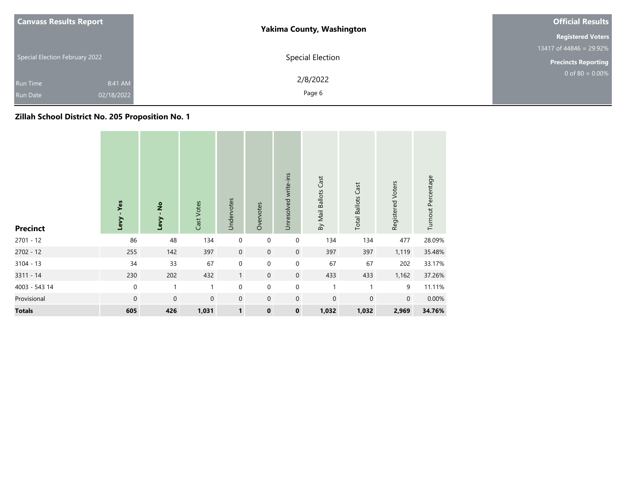| <b>Canvass Results Report</b>                               | <b>Yakima County, Washington</b> | <b>Official Results</b>              |
|-------------------------------------------------------------|----------------------------------|--------------------------------------|
|                                                             |                                  | <b>Registered Voters</b>             |
|                                                             |                                  | 13417 of $448\overline{46}$ = 29.92% |
| Special Election February 2022                              | Special Election                 | <b>Precincts Reporting</b>           |
| 8:41 AM<br><b>Run Time</b><br>02/18/2022<br><b>Run Date</b> | 2/8/2022<br>Page 6               | $0$ of 80 = 0.00%                    |

# **Zillah School District No. 205 Proposition No. 1**

| <b>Precinct</b> | - Yes<br>Levy    | <u>ខ្</u><br>Levy | Cast Votes   | Undervotes       | Overvotes   | Unresolved write-ins | By Mail Ballots Cast | <b>Total Ballots Cast</b> | Registered Voters | Turnout Percentage |
|-----------------|------------------|-------------------|--------------|------------------|-------------|----------------------|----------------------|---------------------------|-------------------|--------------------|
| $2701 - 12$     | 86               | 48                | 134          | $\boldsymbol{0}$ | $\mathbf 0$ | $\boldsymbol{0}$     | 134                  | 134                       | 477               | 28.09%             |
| $2702 - 12$     | 255              | 142               | 397          | $\mathbf 0$      | $\mathbf 0$ | $\mathbf 0$          | 397                  | 397                       | 1,119             | 35.48%             |
| $3104 - 13$     | 34               | 33                | 67           | $\mathbf 0$      | $\mathbf 0$ | $\boldsymbol{0}$     | 67                   | 67                        | 202               | 33.17%             |
| $3311 - 14$     | 230              | 202               | 432          | $\mathbf{1}$     | $\mathbf 0$ | $\mathbf 0$          | 433                  | 433                       | 1,162             | 37.26%             |
| 4003 - 543 14   | $\boldsymbol{0}$ | 1                 | $\mathbf{1}$ | $\mathbf 0$      | $\mathbf 0$ | $\boldsymbol{0}$     |                      |                           | 9                 | 11.11%             |
| Provisional     | $\mathbf 0$      | $\mathbf 0$       | $\mathbf 0$  | $\mathbf 0$      | $\mathbf 0$ | $\mathbf 0$          | $\mathbf 0$          | $\mathbf 0$               | $\mathbf 0$       | 0.00%              |
| <b>Totals</b>   | 605              | 426               | 1,031        | $\mathbf{1}$     | $\mathbf 0$ | $\mathbf 0$          | 1,032                | 1,032                     | 2,969             | 34.76%             |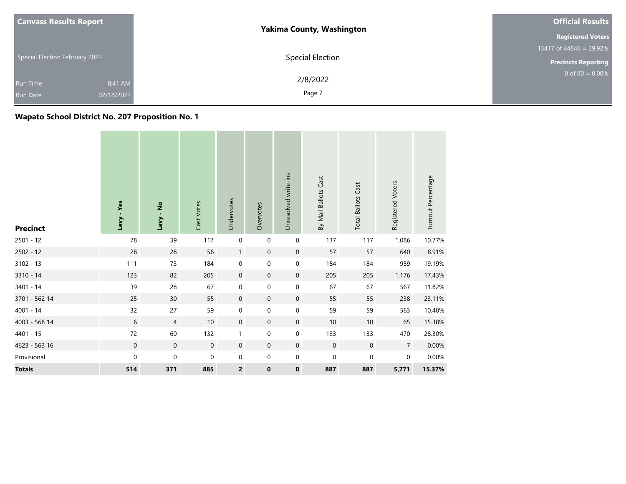| <b>Canvass Results Report</b>                               | <b>Yakima County, Washington</b> | <b>Official Results</b>    |  |  |
|-------------------------------------------------------------|----------------------------------|----------------------------|--|--|
|                                                             |                                  | <b>Registered Voters</b>   |  |  |
|                                                             |                                  | 13417 of 44846 = 29.92%    |  |  |
| Special Election February 2022                              | Special Election                 | <b>Precincts Reporting</b> |  |  |
| 8:41 AM<br><b>Run Time</b><br>02/18/2022<br><b>Run Date</b> | 2/8/2022<br>Page 7               | 0 of 80 = $0.00\%$         |  |  |

# **Wapato School District No. 207 Proposition No. 1**

| <b>Precinct</b> | Levy - Yes          | Levy - No        | Cast Votes       | Undervotes              | Overvotes        | Unresolved write-ins | By Mail Ballots Cast | <b>Total Ballots Cast</b> | Registered Voters | Turnout Percentage |
|-----------------|---------------------|------------------|------------------|-------------------------|------------------|----------------------|----------------------|---------------------------|-------------------|--------------------|
| $2501 - 12$     | 78                  | 39               | 117              | $\pmb{0}$               | $\boldsymbol{0}$ | 0                    | 117                  | 117                       | 1,086             | 10.77%             |
| $2502 - 12$     | 28                  | 28               | 56               | $\mathbf{1}$            | $\mathbf 0$      | $\boldsymbol{0}$     | 57                   | 57                        | 640               | 8.91%              |
| $3102 - 13$     | 111                 | 73               | 184              | $\pmb{0}$               | 0                | $\pmb{0}$            | 184                  | 184                       | 959               | 19.19%             |
| 3310 - 14       | 123                 | 82               | 205              | $\mathbf 0$             | $\mathbf 0$      | $\mathbf 0$          | 205                  | 205                       | 1,176             | 17.43%             |
| 3401 - 14       | 39                  | 28               | 67               | $\mathbf 0$             | 0                | $\pmb{0}$            | 67                   | 67                        | 567               | 11.82%             |
| 3701 - 562 14   | 25                  | 30               | 55               | $\mathbf 0$             | $\mathbf 0$      | $\mathbf 0$          | 55                   | 55                        | 238               | 23.11%             |
| $4001 - 14$     | 32                  | 27               | 59               | $\pmb{0}$               | 0                | $\pmb{0}$            | 59                   | 59                        | 563               | 10.48%             |
| 4003 - 568 14   | $\sqrt{6}$          | $\overline{4}$   | 10               | $\mathbf 0$             | $\mathbf 0$      | $\mathbf 0$          | 10                   | 10                        | 65                | 15.38%             |
| 4401 - 15       | 72                  | 60               | 132              | $\mathbf{1}$            | $\mathbf 0$      | $\pmb{0}$            | 133                  | 133                       | 470               | 28.30%             |
| 4623 - 563 16   | $\mathsf{O}\xspace$ | $\boldsymbol{0}$ | $\boldsymbol{0}$ | $\mathbf 0$             | $\mathbf 0$      | $\boldsymbol{0}$     | $\mathbf 0$          | $\boldsymbol{0}$          | $\overline{7}$    | 0.00%              |
| Provisional     | $\mathbf 0$         | $\boldsymbol{0}$ | 0                | 0                       | 0                | 0                    | 0                    | 0                         | 0                 | 0.00%              |
| <b>Totals</b>   | 514                 | 371              | 885              | $\overline{\mathbf{c}}$ | $\mathbf 0$      | $\pmb{0}$            | 887                  | 887                       | 5,771             | 15.37%             |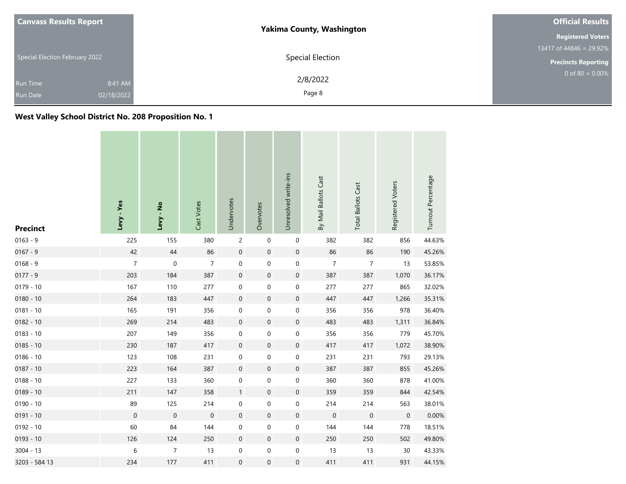| <b>Canvass Results Report</b>                               | <b>Yakima County, Washington</b> | <b>Official Results</b>               |
|-------------------------------------------------------------|----------------------------------|---------------------------------------|
|                                                             |                                  | <b>Registered Voters</b>              |
|                                                             |                                  | 13417 of $448\overline{46} = 29.92\%$ |
| Special Election February 2022                              | Special Election                 | <b>Precincts Reporting</b>            |
| 8:41 AM<br><b>Run Time</b><br>02/18/2022<br><b>Run Date</b> | 2/8/2022<br>Page 8               | 0 of 80 = $0.00\%$                    |

**West Valley School District No. 208 Proposition No. 1**

|                 | Levy - Yes       | Levy - No        | Cast Votes       | Undervotes          | Overvotes        | Unresolved write-ins | By Mail Ballots Cast | <b>Total Ballots Cast</b> | Registered Voters | Turnout Percentage |
|-----------------|------------------|------------------|------------------|---------------------|------------------|----------------------|----------------------|---------------------------|-------------------|--------------------|
| <b>Precinct</b> |                  |                  |                  |                     |                  |                      |                      |                           |                   |                    |
| $0163 - 9$      | 225              | 155              | 380              | $\overline{c}$      | $\boldsymbol{0}$ | $\boldsymbol{0}$     | 382                  | 382                       | 856               | 44.63%             |
| $0167 - 9$      | 42               | 44               | 86               | $\boldsymbol{0}$    | $\boldsymbol{0}$ | $\mathbf 0$          | 86                   | 86                        | 190               | 45.26%             |
| $0168 - 9$      | 7                | $\mathbf 0$      | 7                | $\pmb{0}$           | 0                | 0                    | 7                    | 7                         | 13                | 53.85%             |
| $0177 - 9$      | 203              | 184              | 387              | $\boldsymbol{0}$    | $\boldsymbol{0}$ | $\mathbf 0$          | 387                  | 387                       | 1,070             | 36.17%             |
| $0179 - 10$     | 167              | 110              | 277              | $\boldsymbol{0}$    | 0                | $\pmb{0}$            | 277                  | 277                       | 865               | 32.02%             |
| $0180 - 10$     | 264              | 183              | 447              | $\pmb{0}$           | $\pmb{0}$        | $\pmb{0}$            | 447                  | 447                       | 1,266             | 35.31%             |
| $0181 - 10$     | 165              | 191              | 356              | $\boldsymbol{0}$    | 0                | $\boldsymbol{0}$     | 356                  | 356                       | 978               | 36.40%             |
| $0182 - 10$     | 269              | 214              | 483              | $\boldsymbol{0}$    | $\pmb{0}$        | $\mathbf 0$          | 483                  | 483                       | 1,311             | 36.84%             |
| $0183 - 10$     | 207              | 149              | 356              | $\pmb{0}$           | 0                | $\pmb{0}$            | 356                  | 356                       | 779               | 45.70%             |
| $0185 - 10$     | 230              | 187              | 417              | $\mathsf{O}\xspace$ | $\boldsymbol{0}$ | $\boldsymbol{0}$     | 417                  | 417                       | 1,072             | 38.90%             |
| $0186 - 10$     | 123              | 108              | 231              | $\pmb{0}$           | 0                | 0                    | 231                  | 231                       | 793               | 29.13%             |
| $0187 - 10$     | 223              | 164              | 387              | $\boldsymbol{0}$    | $\boldsymbol{0}$ | $\mathbf 0$          | 387                  | 387                       | 855               | 45.26%             |
| $0188 - 10$     | 227              | 133              | 360              | $\boldsymbol{0}$    | 0                | $\boldsymbol{0}$     | 360                  | 360                       | 878               | 41.00%             |
| $0189 - 10$     | 211              | 147              | 358              | $\mathbf{1}$        | $\boldsymbol{0}$ | $\mathbf 0$          | 359                  | 359                       | 844               | 42.54%             |
| $0190 - 10$     | 89               | 125              | 214              | 0                   | 0                | $\pmb{0}$            | 214                  | 214                       | 563               | 38.01%             |
| $0191 - 10$     | $\boldsymbol{0}$ | $\boldsymbol{0}$ | $\boldsymbol{0}$ | $\boldsymbol{0}$    | $\mathbf 0$      | $\boldsymbol{0}$     | $\boldsymbol{0}$     | $\mathbf 0$               | $\mathbf 0$       | 0.00%              |
| $0192 - 10$     | 60               | 84               | 144              | $\pmb{0}$           | 0                | $\pmb{0}$            | 144                  | 144                       | 778               | 18.51%             |
| $0193 - 10$     | 126              | 124              | 250              | $\mathbf 0$         | $\pmb{0}$        | $\mathbf 0$          | 250                  | 250                       | 502               | 49.80%             |
| $3004 - 13$     | 6                | $\overline{7}$   | 13               | 0                   | 0                | $\pmb{0}$            | 13                   | 13                        | 30                | 43.33%             |
| 3203 - 584 13   | 234              | 177              | 411              | $\boldsymbol{0}$    | 0                | $\boldsymbol{0}$     | 411                  | 411                       | 931               | 44.15%             |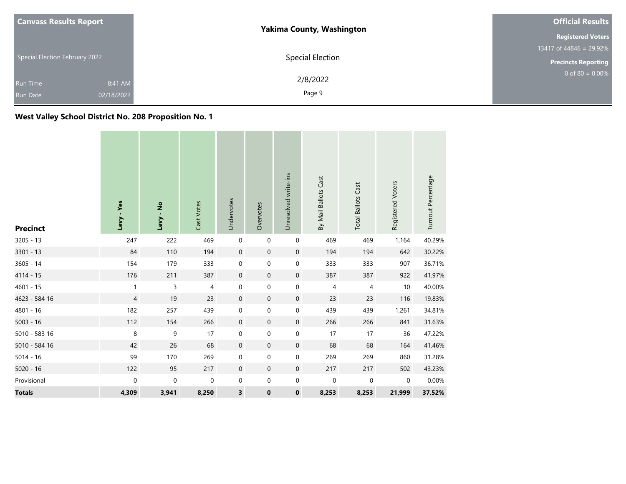| <b>Canvass Results Report</b>                               | <b>Yakima County, Washington</b> | <b>Official Results</b>              |
|-------------------------------------------------------------|----------------------------------|--------------------------------------|
|                                                             |                                  | <b>Registered Voters</b>             |
|                                                             |                                  | 13417 of $448\overline{46}$ = 29.92% |
| Special Election February 2022                              | Special Election                 | <b>Precincts Reporting</b>           |
| 8:41 AM<br><b>Run Time</b><br>02/18/2022<br><b>Run Date</b> | 2/8/2022<br>Page 9               | 0 of 80 = $0.00\%$                   |

**West Valley School District No. 208 Proposition No. 1**

| <b>Precinct</b> | Levy - Yes     | $\frac{1}{2}$<br>Levy | Cast Votes  | Undervotes          | Overvotes        | Unresolved write-ins | By Mail Ballots Cast | <b>Total Ballots Cast</b> | Registered Voters | Turnout Percentage |
|-----------------|----------------|-----------------------|-------------|---------------------|------------------|----------------------|----------------------|---------------------------|-------------------|--------------------|
| $3205 - 13$     | 247            | 222                   | 469         | $\mathbf 0$         | $\mathbf 0$      | $\mathbf 0$          | 469                  | 469                       | 1,164             | 40.29%             |
| $3301 - 13$     | 84             | 110                   | 194         | $\mathsf{O}\xspace$ | $\boldsymbol{0}$ | $\mathbf 0$          | 194                  | 194                       | 642               | 30.22%             |
| 3605 - 14       | 154            | 179                   | 333         | 0                   | $\pmb{0}$        | $\boldsymbol{0}$     | 333                  | 333                       | 907               | 36.71%             |
| 4114 - 15       | 176            | 211                   | 387         | $\mathbf 0$         | $\mathbf 0$      | $\boldsymbol{0}$     | 387                  | 387                       | 922               | 41.97%             |
| $4601 - 15$     | $\mathbf{1}$   | 3                     | 4           | 0                   | 0                | $\pmb{0}$            | 4                    | $\overline{\mathcal{A}}$  | 10                | 40.00%             |
| 4623 - 584 16   | $\overline{4}$ | 19                    | 23          | $\mathsf{O}\xspace$ | $\mathbf 0$      | $\mathbf 0$          | 23                   | 23                        | 116               | 19.83%             |
| 4801 - 16       | 182            | 257                   | 439         | 0                   | 0                | $\mathbf 0$          | 439                  | 439                       | 1,261             | 34.81%             |
| $5003 - 16$     | 112            | 154                   | 266         | $\mathbf 0$         | $\mathbf 0$      | $\boldsymbol{0}$     | 266                  | 266                       | 841               | 31.63%             |
| 5010 - 583 16   | 8              | 9                     | 17          | $\mathbf 0$         | 0                | $\boldsymbol{0}$     | 17                   | 17                        | 36                | 47.22%             |
| 5010 - 584 16   | 42             | 26                    | 68          | $\mathsf{O}\xspace$ | $\boldsymbol{0}$ | $\mathbf 0$          | 68                   | 68                        | 164               | 41.46%             |
| $5014 - 16$     | 99             | 170                   | 269         | 0                   | 0                | $\pmb{0}$            | 269                  | 269                       | 860               | 31.28%             |
| $5020 - 16$     | 122            | 95                    | 217         | $\mathbf 0$         | $\mathbf 0$      | $\boldsymbol{0}$     | 217                  | 217                       | 502               | 43.23%             |
| Provisional     | 0              | $\mathbf 0$           | $\mathbf 0$ | 0                   | $\pmb{0}$        | $\pmb{0}$            | $\mathbf 0$          | $\pmb{0}$                 | $\mathbf 0$       | $0.00\%$           |
| <b>Totals</b>   | 4,309          | 3,941                 | 8,250       | 3                   | $\pmb{0}$        | $\bf{0}$             | 8,253                | 8,253                     | 21,999            | 37.52%             |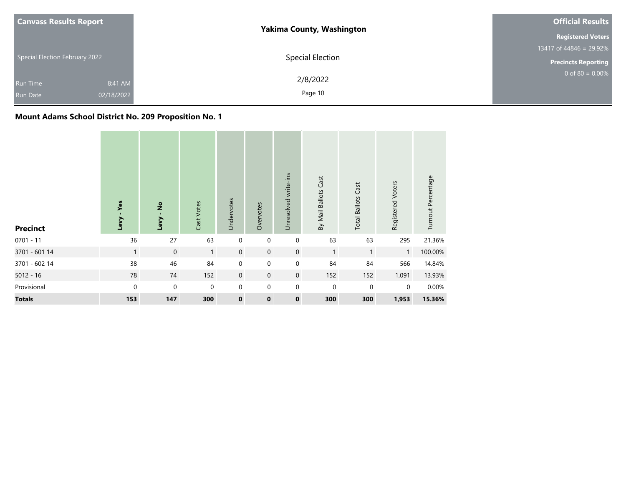| <b>Canvass Results Report</b>                               | <b>Yakima County, Washington</b> | <b>Official Results</b>    |
|-------------------------------------------------------------|----------------------------------|----------------------------|
|                                                             |                                  | <b>Registered Voters</b>   |
|                                                             |                                  | 13417 of 44846 = 29.92%    |
| Special Election February 2022                              | Special Election                 | <b>Precincts Reporting</b> |
| 8:41 AM<br><b>Run Time</b><br>02/18/2022<br><b>Run Date</b> | 2/8/2022<br>Page 10              | $0$ of 80 = 0.00%          |

# **Mount Adams School District No. 209 Proposition No. 1**

| <b>Precinct</b> | Yes<br>Levy  | $\overset{\mathtt{o}}{z}$<br>Levy | Cast Votes   | Undervotes  | Overvotes   | Unresolved write-ins | By Mail Ballots Cast | Cast<br><b>Total Ballots</b> | Registered Voters | Turnout Percentage |
|-----------------|--------------|-----------------------------------|--------------|-------------|-------------|----------------------|----------------------|------------------------------|-------------------|--------------------|
| $0701 - 11$     | 36           | 27                                | 63           | $\mathbf 0$ | $\mathbf 0$ | $\boldsymbol{0}$     | 63                   | 63                           | 295               | 21.36%             |
| 3701 - 601 14   | $\mathbf{1}$ | $\mathbf 0$                       | $\mathbf{1}$ | $\mathbf 0$ | $\mathbf 0$ | $\mathbf 0$          | $\mathbf{1}$         | $\mathbf{1}$                 | $\mathbf{1}$      | 100.00%            |
| 3701 - 602 14   | 38           | 46                                | 84           | $\mathbf 0$ | $\mathbf 0$ | $\mathbf 0$          | 84                   | 84                           | 566               | 14.84%             |
| $5012 - 16$     | 78           | 74                                | 152          | $\mathbf 0$ | $\mathbf 0$ | $\mathbf 0$          | 152                  | 152                          | 1,091             | 13.93%             |
| Provisional     | $\mathbf 0$  | $\mathbf 0$                       | $\mathbf 0$  | $\mathbf 0$ | $\mathbf 0$ | $\mathbf 0$          | $\mathbf 0$          | $\mathbf 0$                  | 0                 | 0.00%              |
| <b>Totals</b>   | 153          | 147                               | 300          | $\mathbf 0$ | $\mathbf 0$ | $\mathbf 0$          | 300                  | 300                          | 1,953             | 15.36%             |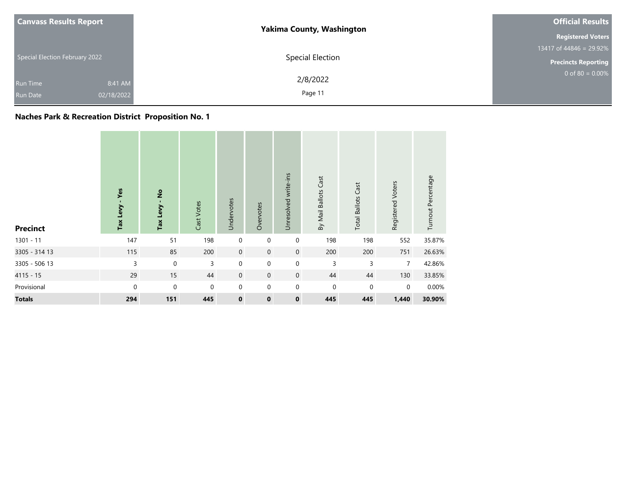| <b>Canvass Results Report</b>                               | <b>Yakima County, Washington</b> | <b>Official Results</b>    |  |  |
|-------------------------------------------------------------|----------------------------------|----------------------------|--|--|
|                                                             |                                  | <b>Registered Voters</b>   |  |  |
|                                                             |                                  | 13417 of 44846 = 29.92%    |  |  |
| Special Election February 2022                              | Special Election                 | <b>Precincts Reporting</b> |  |  |
| 8:41 AM<br><b>Run Time</b><br>02/18/2022<br><b>Run Date</b> | 2/8/2022<br>Page 11              | $0$ of 80 = 0.00%          |  |  |

# **Naches Park & Recreation District Proposition No. 1**

| <b>Precinct</b> | - Yes<br>Tax Levy | $\frac{1}{2}$<br>Tax Levy | Cast Votes  | Undervotes  | Overvotes   | Unresolved write-ins | By Mail Ballots Cast | Cast<br><b>Total Ballots</b> | Registered Voters | Turnout Percentage |
|-----------------|-------------------|---------------------------|-------------|-------------|-------------|----------------------|----------------------|------------------------------|-------------------|--------------------|
| $1301 - 11$     | 147               | 51                        | 198         | $\mathbf 0$ | 0           | $\boldsymbol{0}$     | 198                  | 198                          | 552               | 35.87%             |
| 3305 - 314 13   | 115               | 85                        | 200         | $\mathbf 0$ | $\mathbf 0$ | $\boldsymbol{0}$     | 200                  | 200                          | 751               | 26.63%             |
| 3305 - 506 13   | 3                 | $\mathbf 0$               | 3           | $\mathbf 0$ | 0           | $\mathbf 0$          | 3                    | 3                            | $\overline{7}$    | 42.86%             |
| $4115 - 15$     | 29                | 15                        | 44          | $\mathbf 0$ | $\mathbf 0$ | $\mathsf{O}\xspace$  | 44                   | 44                           | 130               | 33.85%             |
| Provisional     | $\mathbf{0}$      | $\mathbf 0$               | $\mathbf 0$ | $\mathbf 0$ | $\mathbf 0$ | $\pmb{0}$            | $\mathbf 0$          | $\mathbf 0$                  | $\mathbf 0$       | 0.00%              |
| <b>Totals</b>   | 294               | 151                       | 445         | $\mathbf 0$ | $\mathbf 0$ | $\pmb{0}$            | 445                  | 445                          | 1,440             | 30.90%             |